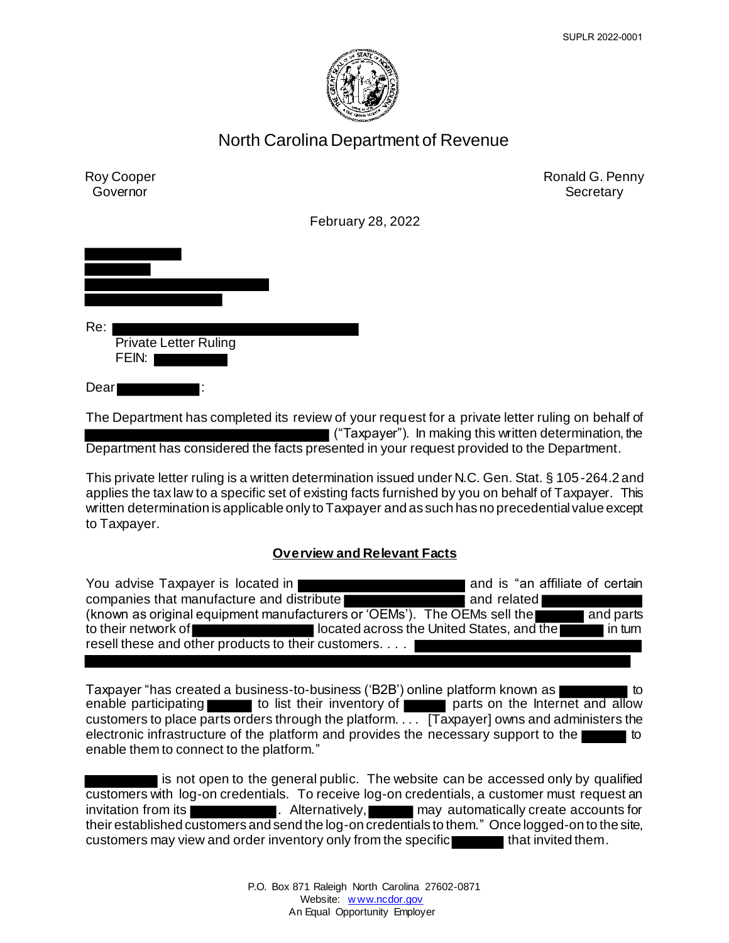

# North Carolina Department of Revenue



The Department has completed its review of your request for a private letter ruling on behalf of ("Taxpayer"). In making this written determination, the Department has considered the facts presented in your request provided to the Department.

This private letter ruling is a written determination issued under N.C. Gen. Stat. § 105-264.2 and applies the tax law to a specific set of existing facts furnished by you on behalf of Taxpayer. This written determination is applicable only to Taxpayer and as such has no precedential value except to Taxpayer.

## **Overview and Relevant Facts**

| You advise Taxpayer is located in                                        |                                           | and is "an affiliate of certain |           |
|--------------------------------------------------------------------------|-------------------------------------------|---------------------------------|-----------|
| companies that manufacture and distribute                                |                                           | and related                     |           |
| (known as original equipment manufacturers or 'OEMs'). The OEMs sell the |                                           |                                 | and parts |
| to their network of                                                      | located across the United States, and the |                                 | l in turn |
| resell these and other products to their customers.                      |                                           |                                 |           |

Taxpayer "has created a business-to-business ('B2B') online platform known as enable participating to list their inventory of  $\blacksquare$  parts on the Internet and allow customers to place parts orders through the platform.  $\overline{11}$ . [Taxpayer] owns and administers the electronic infrastructure of the platform and provides the necessary support to the enable them to connect to the platform."

I is not open to the general public. The website can be accessed only by qualified customers with log-on credentials. To receive log-on credentials, a customer must request an invitation from its **the contract of the Contract Automatical** may automatically create accounts for their established customers and send the log-on credentials to them." Once logged-on to the site, customers may view and order inventory only from the specific that invited them.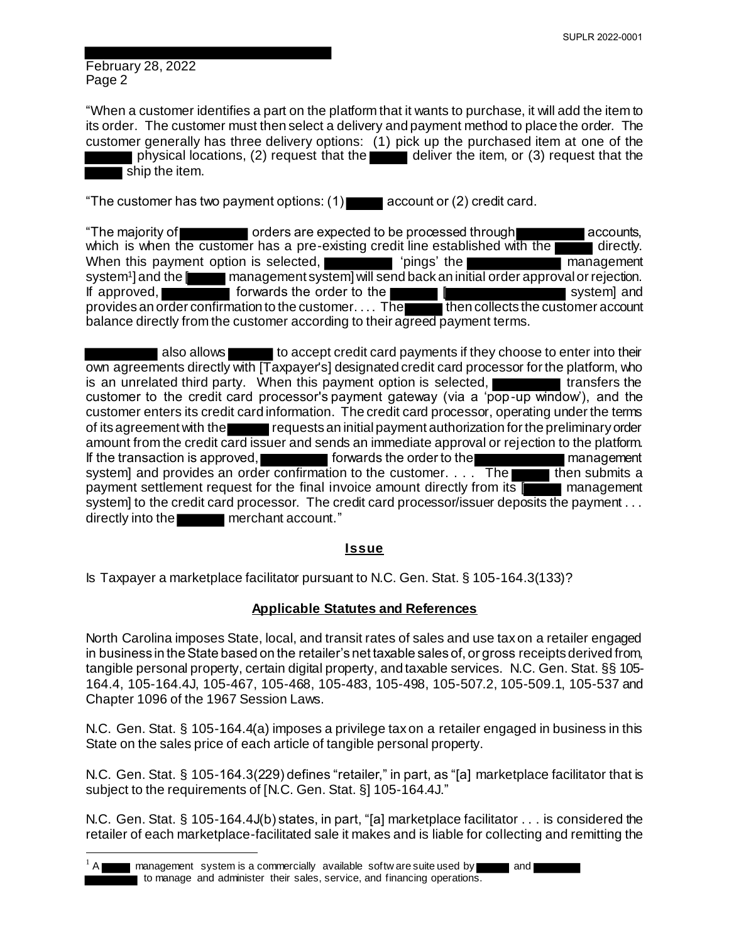February 28, 2022 Page 2

l

"When a customer identifies a part on the platform that it wants to purchase, it will add the item to its order. The customer must then select a delivery and payment method to place the order. The customer generally has three delivery options: (1) pick up the purchased item at one of the physical locations, (2) request that the deliver the item, or (3) request that the ship the item.

"The customer has two payment options:  $(1)$  account or  $(2)$  credit card.

"The majority of  $\blacksquare$  orders are expected to be processed through  $\blacksquare$  accounts, which is when the customer has a pre-existing credit line established with the directly. When this payment option is selected, **The management** 'pings' the management system<sup>1</sup> and the I management system] will send back an initial order approval or rejection. If approved, **forwards the order to the computer intervalse in the system** and system and provides an order confirmation to the customer. . . . The then collects the customer account balance directly from the customer according to their agreed payment terms.

**also allows** to accept credit card payments if they choose to enter into their own agreements directly with [Taxpayer's] designated credit card processor for the platform, who is an unrelated third party. When this payment option is selected,  $\blacksquare$  transfers the customer to the credit card processor's payment gateway (via a 'pop-up window'), and the customer enters its credit card information. The credit card processor, operating under the terms of its agreement with the requests an initial payment authorization for the preliminary order amount from the credit card issuer and sends an immediate approval or rejection to the platform. If the transaction is approved, **forwards the order to the management** system] and provides an order confirmation to the customer.  $\ldots$  The then submits a payment settlement request for the final invoice amount directly from its [ management system] to the credit card processor. The credit card processor/issuer deposits the payment . . . directly into the **network** merchant account."

## **Issue**

Is Taxpayer a marketplace facilitator pursuant to N.C. Gen. Stat. § 105-164.3(133)?

## **Applicable Statutes and References**

North Carolina imposes State, local, and transit rates of sales and use tax on a retailer engaged in business in the State based on the retailer's net taxable sales of, or gross receipts derived from, tangible personal property, certain digital property, and taxable services. N.C. Gen. Stat. §§ 105- 164.4, 105-164.4J, 105-467, 105-468, 105-483, 105-498, 105-507.2, 105-509.1, 105-537 and Chapter 1096 of the 1967 Session Laws.

N.C. Gen. Stat. § 105-164.4(a) imposes a privilege tax on a retailer engaged in business in this State on the sales price of each article of tangible personal property.

N.C. Gen. Stat. § 105-164.3(229) defines "retailer," in part, as "[a] marketplace facilitator that is subject to the requirements of [N.C. Gen. Stat. §] 105-164.4J."

N.C. Gen. Stat. § 105-164.4J(b) states, in part, "[a] marketplace facilitator . . . is considered the retailer of each marketplace-facilitated sale it makes and is liable for collecting and remitting the

<sup>1</sup> A management system is a commercially available softw are suite used by and to manage and administer their sales, service, and financing operations.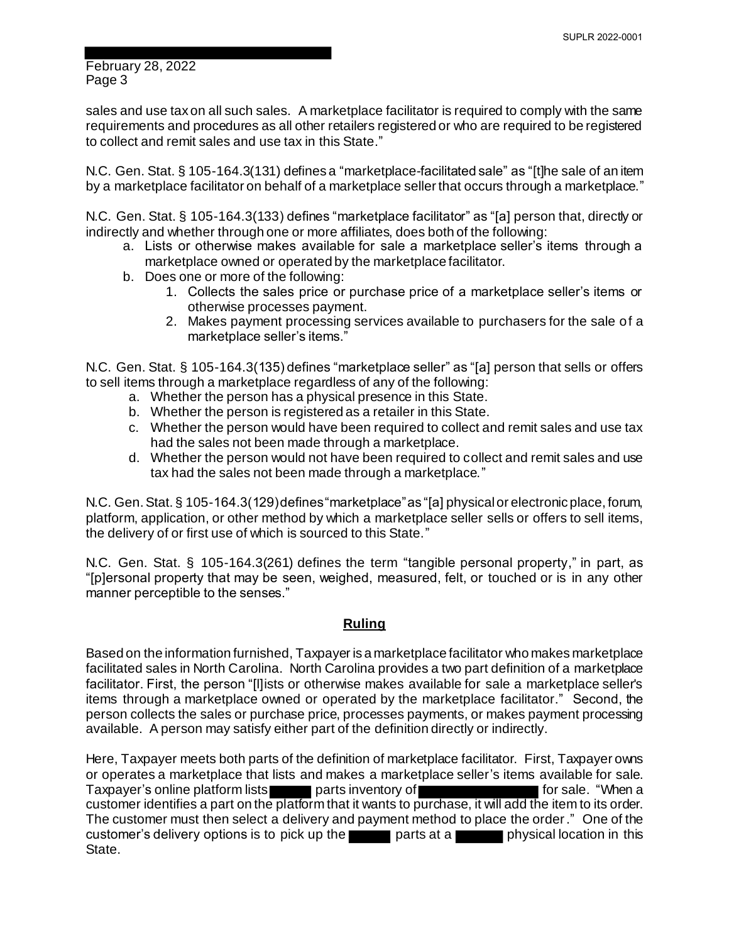February 28, 2022 Page 3

sales and use tax on all such sales. A marketplace facilitator is required to comply with the same requirements and procedures as all other retailers registered or who are required to be registered to collect and remit sales and use tax in this State."

N.C. Gen. Stat. § 105-164.3(131) defines a "marketplace-facilitated sale" as "[t]he sale of an item by a marketplace facilitator on behalf of a marketplace seller that occurs through a marketplace."

N.C. Gen. Stat. § 105-164.3(133) defines "marketplace facilitator" as "[a] person that, directly or indirectly and whether through one or more affiliates, does both of the following:

- a. Lists or otherwise makes available for sale a marketplace seller's items through a marketplace owned or operated by the marketplace facilitator.
- b. Does one or more of the following:
	- 1. Collects the sales price or purchase price of a marketplace seller's items or otherwise processes payment.
	- 2. Makes payment processing services available to purchasers for the sale of a marketplace seller's items."

N.C. Gen. Stat. § 105-164.3(135) defines "marketplace seller" as "[a] person that sells or offers to sell items through a marketplace regardless of any of the following:

- a. Whether the person has a physical presence in this State.
- b. Whether the person is registered as a retailer in this State.
- c. Whether the person would have been required to collect and remit sales and use tax had the sales not been made through a marketplace.
- d. Whether the person would not have been required to collect and remit sales and use tax had the sales not been made through a marketplace."

N.C. Gen. Stat. § 105-164.3(129) defines "marketplace" as "[a] physical or electronic place, forum, platform, application, or other method by which a marketplace seller sells or offers to sell items, the delivery of or first use of which is sourced to this State."

N.C. Gen. Stat. § 105-164.3(261) defines the term "tangible personal property," in part, as "[p]ersonal property that may be seen, weighed, measured, felt, or touched or is in any other manner perceptible to the senses."

#### **Ruling**

Based on the information furnished, Taxpayer is a marketplace facilitator who makes marketplace facilitated sales in North Carolina. North Carolina provides a two part definition of a marketplace facilitator. First, the person "[l]ists or otherwise makes available for sale a marketplace seller's items through a marketplace owned or operated by the marketplace facilitator." Second, the person collects the sales or purchase price, processes payments, or makes payment processing available. A person may satisfy either part of the definition directly or indirectly.

Here, Taxpayer meets both parts of the definition of marketplace facilitator. First, Taxpayer owns or operates a marketplace that lists and makes a marketplace seller's items available for sale.<br>Taxpayer's online platform lists parts inventory of **Theory of the Contract on School** for sale. "When a Taxpayer's online platform lists parts inventory of **Formal** for sale. "When a customer identifies a part on the platform that it wants to purchase, it will add the item to its order. The customer must then select a delivery and payment method to place the order." One of the customer's delivery options is to pick up the parts at a physical location in this State.